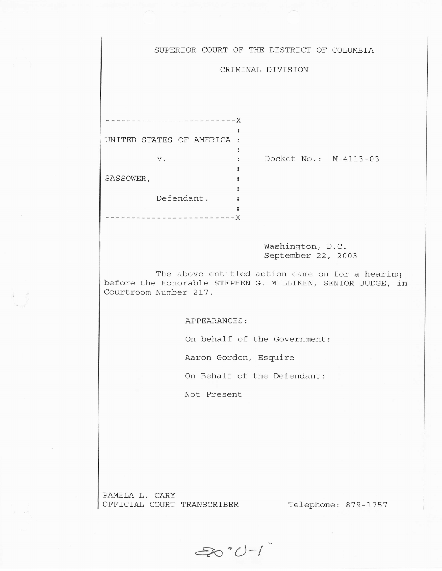## SUPERIOR COURT OF THE DTSTRICT OF COLUMBIA

## CRTMTNAL DIVISION

|           |            | UNITED STATES OF AMERICA |  |
|-----------|------------|--------------------------|--|
|           |            |                          |  |
|           | $V$ .      |                          |  |
|           |            |                          |  |
| SASSOWER, |            |                          |  |
|           |            |                          |  |
|           | Defendant. |                          |  |
|           |            |                          |  |
|           |            |                          |  |

---------------------- $X$ 

: Docket No.: M-4113-03

Washington, D.C. September 22, 2003

The above-entitled action came on for a hearing before the Honorable STEPHEN G. MILLfKEN, SENTOR JUDGE, in Courtroom Number 2L7.

APPEARANCES:

On behalf of the Government:

Aaron Gordon, Esquire

On Behalf of the Defendant:

Not Present

PAMELA L. CARY OFFICIAL COURT TRANSCRIBER Telephone: 879-1757

€o "()-l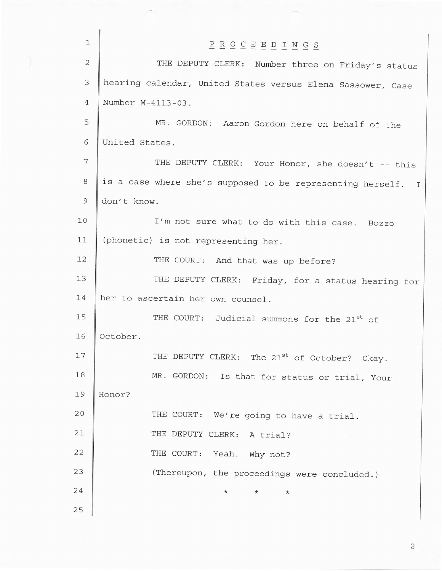| $\mathbf 1$    | $\underline{P} \underline{R} \underline{O} \underline{C} \underline{E} \underline{E} \underline{D} \underline{I} \underline{N} \underline{G} \underline{S}$ |
|----------------|-------------------------------------------------------------------------------------------------------------------------------------------------------------|
| 2              | THE DEPUTY CLERK: Number three on Friday's status                                                                                                           |
| 3              | hearing calendar, United States versus Elena Sassower, Case                                                                                                 |
| $\overline{4}$ | Number M-4113-03.                                                                                                                                           |
| 5              | MR. GORDON: Aaron Gordon here on behalf of the                                                                                                              |
| 6              | United States.                                                                                                                                              |
| $\overline{7}$ | THE DEPUTY CLERK: Your Honor, she doesn't -- this                                                                                                           |
| 8              | is a case where she's supposed to be representing herself. I                                                                                                |
| 9              | don't know.                                                                                                                                                 |
| 10             | I'm not sure what to do with this case. Bozzo                                                                                                               |
| 11             | (phonetic) is not representing her.                                                                                                                         |
| 12             | THE COURT: And that was up before?                                                                                                                          |
| 13             | THE DEPUTY CLERK: Friday, for a status hearing for                                                                                                          |
| 14             | her to ascertain her own counsel.                                                                                                                           |
| 15             | THE COURT: Judicial summons for the 21st of                                                                                                                 |
| 16             | October.                                                                                                                                                    |
| 17             | THE DEPUTY CLERK: The 21 <sup>st</sup> of October? Okay.                                                                                                    |
| 18             | MR. GORDON: Is that for status or trial, Your                                                                                                               |
| 19             | Honor?                                                                                                                                                      |
| 20             | THE COURT: We're going to have a trial.                                                                                                                     |
| 21             | THE DEPUTY CLERK: A trial?                                                                                                                                  |
| 22             | THE COURT: Yeah. Why not?                                                                                                                                   |
| 23             | (Thereupon, the proceedings were concluded.)                                                                                                                |
| 24             | $^\star$<br>$\star$<br>$^\star$                                                                                                                             |
| 25             |                                                                                                                                                             |

 $\overline{a}$